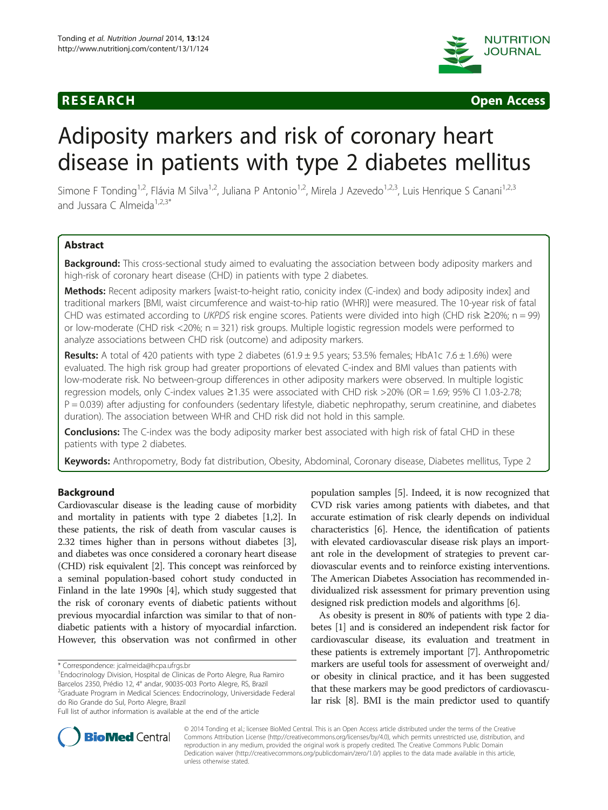



# Adiposity markers and risk of coronary heart disease in patients with type 2 diabetes mellitus

Simone F Tonding<sup>1,2</sup>, Flávia M Silva<sup>1,2</sup>, Juliana P Antonio<sup>1,2</sup>, Mirela J Azevedo<sup>1,2,3</sup>, Luis Henrique S Canani<sup>1,2,3</sup> and Jussara C Almeida<sup>1,2,3\*</sup>

# Abstract

Background: This cross-sectional study aimed to evaluating the association between body adiposity markers and high-risk of coronary heart disease (CHD) in patients with type 2 diabetes.

Methods: Recent adiposity markers [waist-to-height ratio, conicity index (C-index) and body adiposity index] and traditional markers [BMI, waist circumference and waist-to-hip ratio (WHR)] were measured. The 10-year risk of fatal CHD was estimated according to UKPDS risk engine scores. Patients were divided into high (CHD risk  $\geq$ 20%; n = 99) or low-moderate (CHD risk <20%; n = 321) risk groups. Multiple logistic regression models were performed to analyze associations between CHD risk (outcome) and adiposity markers.

Results: A total of 420 patients with type 2 diabetes (61.9  $\pm$  9.5 years; 53.5% females; HbA1c 7.6  $\pm$  1.6%) were evaluated. The high risk group had greater proportions of elevated C-index and BMI values than patients with low-moderate risk. No between-group differences in other adiposity markers were observed. In multiple logistic regression models, only C-index values ≥1.35 were associated with CHD risk >20% (OR = 1.69; 95% CI 1.03-2.78;  $P = 0.039$ ) after adjusting for confounders (sedentary lifestyle, diabetic nephropathy, serum creatinine, and diabetes duration). The association between WHR and CHD risk did not hold in this sample.

**Conclusions:** The C-index was the body adiposity marker best associated with high risk of fatal CHD in these patients with type 2 diabetes.

Keywords: Anthropometry, Body fat distribution, Obesity, Abdominal, Coronary disease, Diabetes mellitus, Type 2

# Background

Cardiovascular disease is the leading cause of morbidity and mortality in patients with type 2 diabetes [\[1,2](#page-5-0)]. In these patients, the risk of death from vascular causes is 2.32 times higher than in persons without diabetes [[3](#page-5-0)], and diabetes was once considered a coronary heart disease (CHD) risk equivalent [\[2](#page-5-0)]. This concept was reinforced by a seminal population-based cohort study conducted in Finland in the late 1990s [\[4\]](#page-5-0), which study suggested that the risk of coronary events of diabetic patients without previous myocardial infarction was similar to that of nondiabetic patients with a history of myocardial infarction. However, this observation was not confirmed in other

Endocrinology Division, Hospital de Clinicas de Porto Alegre, Rua Ramiro Barcelos 2350, Prédio 12, 4° andar, 90035-003 Porto Alegre, RS, Brazil <sup>2</sup>Graduate Program in Medical Sciences: Endocrinology, Universidade Federal do Rio Grande do Sul, Porto Alegre, Brazil

population samples [[5\]](#page-5-0). Indeed, it is now recognized that CVD risk varies among patients with diabetes, and that accurate estimation of risk clearly depends on individual characteristics [[6\]](#page-5-0). Hence, the identification of patients with elevated cardiovascular disease risk plays an important role in the development of strategies to prevent cardiovascular events and to reinforce existing interventions. The American Diabetes Association has recommended individualized risk assessment for primary prevention using designed risk prediction models and algorithms [[6](#page-5-0)].

As obesity is present in 80% of patients with type 2 diabetes [\[1](#page-5-0)] and is considered an independent risk factor for cardiovascular disease, its evaluation and treatment in these patients is extremely important [\[7\]](#page-5-0). Anthropometric markers are useful tools for assessment of overweight and/ or obesity in clinical practice, and it has been suggested that these markers may be good predictors of cardiovascular risk [\[8](#page-5-0)]. BMI is the main predictor used to quantify



© 2014 Tonding et al.; licensee BioMed Central. This is an Open Access article distributed under the terms of the Creative Commons Attribution License [\(http://creativecommons.org/licenses/by/4.0\)](http://creativecommons.org/licenses/by/4.0), which permits unrestricted use, distribution, and reproduction in any medium, provided the original work is properly credited. The Creative Commons Public Domain Dedication waiver [\(http://creativecommons.org/publicdomain/zero/1.0/](http://creativecommons.org/publicdomain/zero/1.0/)) applies to the data made available in this article, unless otherwise stated.

<sup>\*</sup> Correspondence: [jcalmeida@hcpa.ufrgs.br](mailto:jcalmeida@hcpa.ufrgs.br) <sup>1</sup>

Full list of author information is available at the end of the article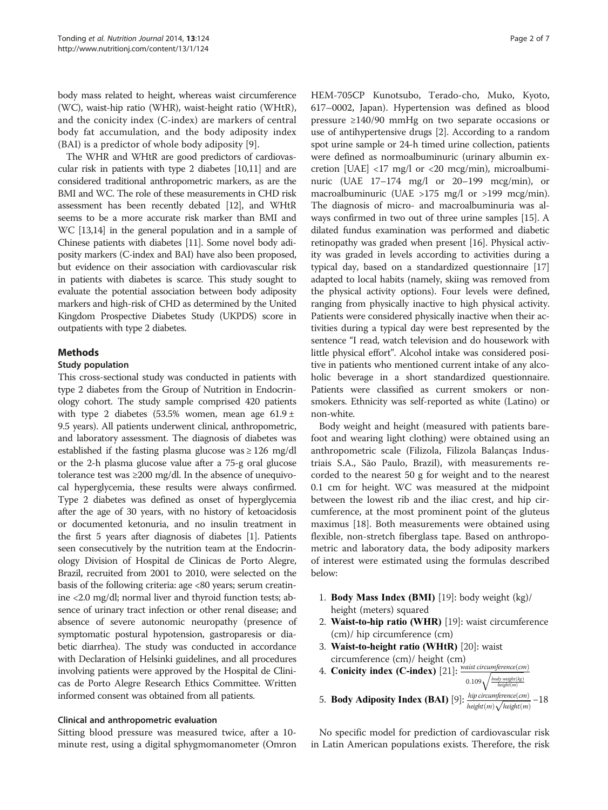body mass related to height, whereas waist circumference (WC), waist-hip ratio (WHR), waist-height ratio (WHtR), and the conicity index (C-index) are markers of central body fat accumulation, and the body adiposity index (BAI) is a predictor of whole body adiposity [[9\]](#page-5-0).

The WHR and WHtR are good predictors of cardiovascular risk in patients with type 2 diabetes [\[10,11](#page-5-0)] and are considered traditional anthropometric markers, as are the BMI and WC. The role of these measurements in CHD risk assessment has been recently debated [\[12\]](#page-5-0), and WHtR seems to be a more accurate risk marker than BMI and WC [[13,14\]](#page-5-0) in the general population and in a sample of Chinese patients with diabetes [[11](#page-5-0)]. Some novel body adiposity markers (C-index and BAI) have also been proposed, but evidence on their association with cardiovascular risk in patients with diabetes is scarce. This study sought to evaluate the potential association between body adiposity markers and high-risk of CHD as determined by the United Kingdom Prospective Diabetes Study (UKPDS) score in outpatients with type 2 diabetes.

# Methods

#### Study population

This cross-sectional study was conducted in patients with type 2 diabetes from the Group of Nutrition in Endocrinology cohort. The study sample comprised 420 patients with type 2 diabetes (53.5% women, mean age  $61.9 \pm$ 9.5 years). All patients underwent clinical, anthropometric, and laboratory assessment. The diagnosis of diabetes was established if the fasting plasma glucose was  $\geq 126$  mg/dl or the 2-h plasma glucose value after a 75-g oral glucose tolerance test was ≥200 mg/dl. In the absence of unequivocal hyperglycemia, these results were always confirmed. Type 2 diabetes was defined as onset of hyperglycemia after the age of 30 years, with no history of ketoacidosis or documented ketonuria, and no insulin treatment in the first 5 years after diagnosis of diabetes [\[1](#page-5-0)]. Patients seen consecutively by the nutrition team at the Endocrinology Division of Hospital de Clinicas de Porto Alegre, Brazil, recruited from 2001 to 2010, were selected on the basis of the following criteria: age <80 years; serum creatinine <2.0 mg/dl; normal liver and thyroid function tests; absence of urinary tract infection or other renal disease; and absence of severe autonomic neuropathy (presence of symptomatic postural hypotension, gastroparesis or diabetic diarrhea). The study was conducted in accordance with Declaration of Helsinki guidelines, and all procedures involving patients were approved by the Hospital de Clinicas de Porto Alegre Research Ethics Committee. Written informed consent was obtained from all patients.

#### Clinical and anthropometric evaluation

Sitting blood pressure was measured twice, after a 10 minute rest, using a digital sphygmomanometer (Omron HEM-705CP Kunotsubo, Terado-cho, Muko, Kyoto, 617–0002, Japan). Hypertension was defined as blood pressure ≥140/90 mmHg on two separate occasions or use of antihypertensive drugs [[2\]](#page-5-0). According to a random spot urine sample or 24-h timed urine collection, patients were defined as normoalbuminuric (urinary albumin excretion [UAE]  $\langle 17 \text{ mg/l} \text{ or } \langle 20 \text{ mcg/min} \rangle$ , microalbuminuric (UAE 17–174 mg/l or 20–199 mcg/min), or macroalbuminuric (UAE >175 mg/l or >199 mcg/min). The diagnosis of micro- and macroalbuminuria was always confirmed in two out of three urine samples [[15](#page-5-0)]. A dilated fundus examination was performed and diabetic retinopathy was graded when present [\[16\]](#page-5-0). Physical activity was graded in levels according to activities during a typical day, based on a standardized questionnaire [[17](#page-5-0)] adapted to local habits (namely, skiing was removed from the physical activity options). Four levels were defined, ranging from physically inactive to high physical activity. Patients were considered physically inactive when their activities during a typical day were best represented by the sentence "I read, watch television and do housework with little physical effort". Alcohol intake was considered positive in patients who mentioned current intake of any alcoholic beverage in a short standardized questionnaire. Patients were classified as current smokers or nonsmokers. Ethnicity was self-reported as white (Latino) or non-white.

Body weight and height (measured with patients barefoot and wearing light clothing) were obtained using an anthropometric scale (Filizola, Filizola Balanças Industriais S.A., São Paulo, Brazil), with measurements recorded to the nearest 50 g for weight and to the nearest 0.1 cm for height. WC was measured at the midpoint between the lowest rib and the iliac crest, and hip circumference, at the most prominent point of the gluteus maximus [\[18\]](#page-5-0). Both measurements were obtained using flexible, non-stretch fiberglass tape. Based on anthropometric and laboratory data, the body adiposity markers of interest were estimated using the formulas described below:

- 1. Body Mass Index (BMI) [\[19](#page-5-0)]: body weight (kg)/ height (meters) squared
- 2. Waist-to-hip ratio (WHR) [[19](#page-5-0)]: waist circumference (cm)/ hip circumference (cm)
- 3. Waist-to-height ratio (WHtR) [\[20\]](#page-5-0): waist circumference (cm)/ height (cm)
- 4. Conicity index  $(C$ -index) [\[21\]](#page-5-0):  $\frac{waist\,circ cumference (cm)}{f}$  $0.109\sqrt{\frac{body\ weight(kg)}{height(m)}}$
- 5. **Body Adiposity Index (BAI)** [\[9\]](#page-5-0):  $\frac{hip\ circumference (cm)}{height (m) \sqrt{height (m)}} -18$

No specific model for prediction of cardiovascular risk in Latin American populations exists. Therefore, the risk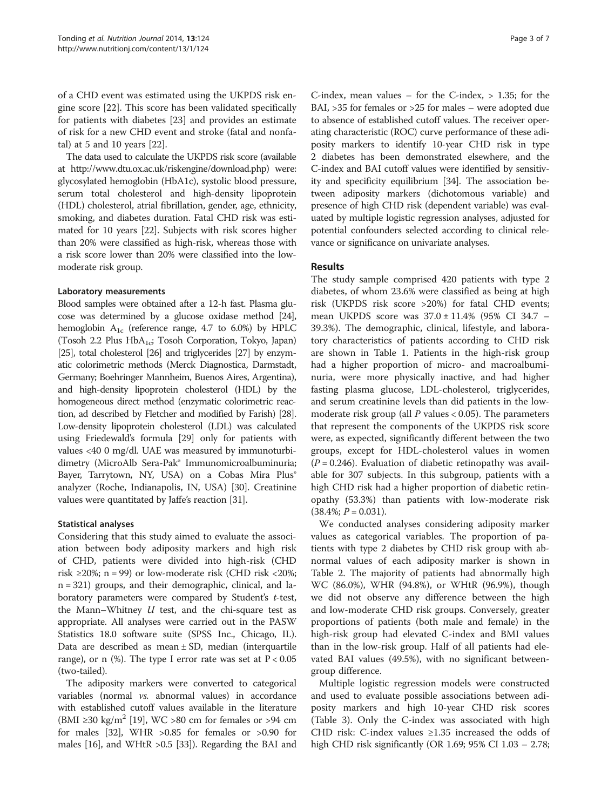of a CHD event was estimated using the UKPDS risk engine score [\[22](#page-5-0)]. This score has been validated specifically for patients with diabetes [\[23](#page-5-0)] and provides an estimate of risk for a new CHD event and stroke (fatal and nonfatal) at 5 and 10 years [[22\]](#page-5-0).

The data used to calculate the UKPDS risk score (available at [http://www.dtu.ox.ac.uk/riskengine/download.php\)](http://www.dtu.ox.ac.uk/riskengine/download.php) were: glycosylated hemoglobin (HbA1c), systolic blood pressure, serum total cholesterol and high-density lipoprotein (HDL) cholesterol, atrial fibrillation, gender, age, ethnicity, smoking, and diabetes duration. Fatal CHD risk was estimated for 10 years [\[22\]](#page-5-0). Subjects with risk scores higher than 20% were classified as high-risk, whereas those with a risk score lower than 20% were classified into the lowmoderate risk group.

#### Laboratory measurements

Blood samples were obtained after a 12-h fast. Plasma glucose was determined by a glucose oxidase method [\[24](#page-5-0)], hemoglobin  $A_{1c}$  (reference range, 4.7 to 6.0%) by HPLC (Tosoh 2.2 Plus HbA<sub>1c</sub>; Tosoh Corporation, Tokyo, Japan) [[25\]](#page-5-0), total cholesterol [\[26\]](#page-6-0) and triglycerides [\[27](#page-6-0)] by enzymatic colorimetric methods (Merck Diagnostica, Darmstadt, Germany; Boehringer Mannheim, Buenos Aires, Argentina), and high-density lipoprotein cholesterol (HDL) by the homogeneous direct method (enzymatic colorimetric reaction, ad described by Fletcher and modified by Farish) [\[28](#page-6-0)]. Low-density lipoprotein cholesterol (LDL) was calculated using Friedewald's formula [[29](#page-6-0)] only for patients with values <40 0 mg/dl. UAE was measured by immunoturbidimetry (MicroAlb Sera-Pak® Immunomicroalbuminuria; Bayer, Tarrytown, NY, USA) on a Cobas Mira Plus® analyzer (Roche, Indianapolis, IN, USA) [[30](#page-6-0)]. Creatinine values were quantitated by Jaffe's reaction [[31](#page-6-0)].

# Statistical analyses

Considering that this study aimed to evaluate the association between body adiposity markers and high risk of CHD, patients were divided into high-risk (CHD risk  $\geq$ 20%; n = 99) or low-moderate risk (CHD risk  $\lt$ 20%; n = 321) groups, and their demographic, clinical, and laboratory parameters were compared by Student's t-test, the Mann–Whitney  $U$  test, and the chi-square test as appropriate. All analyses were carried out in the PASW Statistics 18.0 software suite (SPSS Inc., Chicago, IL). Data are described as mean  $\pm$  SD, median (interquartile range), or n (%). The type I error rate was set at  $P < 0.05$ (two-tailed).

The adiposity markers were converted to categorical variables (normal vs. abnormal values) in accordance with established cutoff values available in the literature (BMI  $\geq$ 30 kg/m<sup>2</sup> [[19](#page-5-0)], WC  $>$ 80 cm for females or  $>$ 94 cm for males [[32\]](#page-6-0), WHR  $>0.85$  for females or  $>0.90$  for males [\[16\]](#page-5-0), and WHtR >0.5 [[33](#page-6-0)]). Regarding the BAI and

C-index, mean values – for the C-index,  $> 1.35$ ; for the BAI, >35 for females or >25 for males – were adopted due to absence of established cutoff values. The receiver operating characteristic (ROC) curve performance of these adiposity markers to identify 10-year CHD risk in type 2 diabetes has been demonstrated elsewhere, and the C-index and BAI cutoff values were identified by sensitivity and specificity equilibrium [\[34\]](#page-6-0). The association between adiposity markers (dichotomous variable) and presence of high CHD risk (dependent variable) was evaluated by multiple logistic regression analyses, adjusted for potential confounders selected according to clinical relevance or significance on univariate analyses.

# Results

The study sample comprised 420 patients with type 2 diabetes, of whom 23.6% were classified as being at high risk (UKPDS risk score >20%) for fatal CHD events; mean UKPDS score was 37.0 ± 11.4% (95% CI 34.7 – 39.3%). The demographic, clinical, lifestyle, and laboratory characteristics of patients according to CHD risk are shown in Table [1](#page-3-0). Patients in the high-risk group had a higher proportion of micro- and macroalbuminuria, were more physically inactive, and had higher fasting plasma glucose, LDL-cholesterol, triglycerides, and serum creatinine levels than did patients in the lowmoderate risk group (all  $P$  values < 0.05). The parameters that represent the components of the UKPDS risk score were, as expected, significantly different between the two groups, except for HDL-cholesterol values in women  $(P = 0.246)$ . Evaluation of diabetic retinopathy was available for 307 subjects. In this subgroup, patients with a high CHD risk had a higher proportion of diabetic retinopathy (53.3%) than patients with low-moderate risk  $(38.4\%; P = 0.031).$ 

We conducted analyses considering adiposity marker values as categorical variables. The proportion of patients with type 2 diabetes by CHD risk group with abnormal values of each adiposity marker is shown in Table [2](#page-4-0). The majority of patients had abnormally high WC (86.0%), WHR (94.8%), or WHtR (96.9%), though we did not observe any difference between the high and low-moderate CHD risk groups. Conversely, greater proportions of patients (both male and female) in the high-risk group had elevated C-index and BMI values than in the low-risk group. Half of all patients had elevated BAI values (49.5%), with no significant betweengroup difference.

Multiple logistic regression models were constructed and used to evaluate possible associations between adiposity markers and high 10-year CHD risk scores (Table [3](#page-4-0)). Only the C-index was associated with high CHD risk: C-index values  $\geq 1.35$  increased the odds of high CHD risk significantly (OR 1.69; 95% CI 1.03 – 2.78;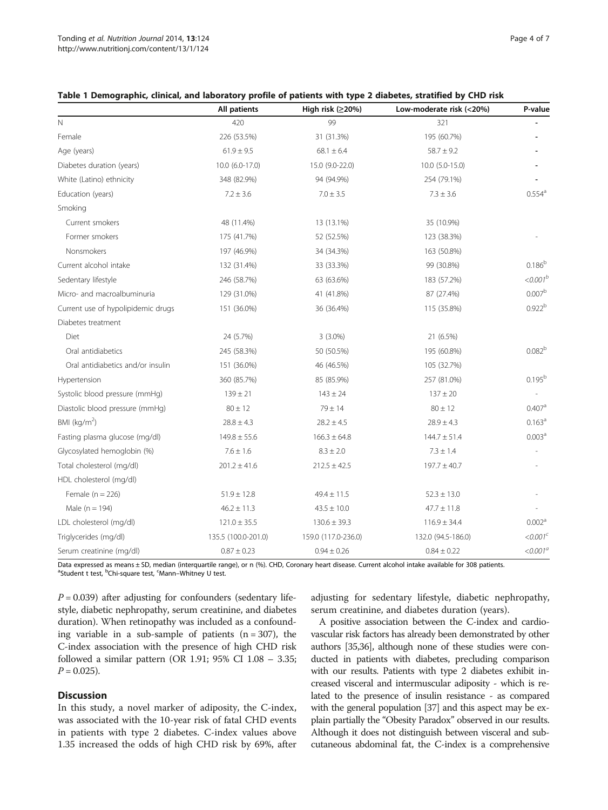|                                    | All patients        | High risk (≥20%)    | Low-moderate risk (<20%) | P-value              |
|------------------------------------|---------------------|---------------------|--------------------------|----------------------|
| N                                  | 420                 | 99                  | 321                      |                      |
| Female                             | 226 (53.5%)         | 31 (31.3%)          | 195 (60.7%)              |                      |
| Age (years)                        | $61.9 \pm 9.5$      | $68.1 \pm 6.4$      | $58.7 \pm 9.2$           |                      |
| Diabetes duration (years)          | 10.0 (6.0-17.0)     | 15.0 (9.0-22.0)     | 10.0 (5.0-15.0)          |                      |
| White (Latino) ethnicity           | 348 (82.9%)         | 94 (94.9%)          | 254 (79.1%)              |                      |
| Education (years)                  | $7.2 \pm 3.6$       | $7.0 \pm 3.5$       | $7.3 \pm 3.6$            | $0.554$ <sup>a</sup> |
| Smoking                            |                     |                     |                          |                      |
| Current smokers                    | 48 (11.4%)          | 13 (13.1%)          | 35 (10.9%)               |                      |
| Former smokers                     | 175 (41.7%)         | 52 (52.5%)          | 123 (38.3%)              |                      |
| Nonsmokers                         | 197 (46.9%)         | 34 (34.3%)          | 163 (50.8%)              |                      |
| Current alcohol intake             | 132 (31.4%)         | 33 (33.3%)          | 99 (30.8%)               | 0.186 <sup>b</sup>   |
| Sedentary lifestyle                | 246 (58.7%)         | 63 (63.6%)          | 183 (57.2%)              | $<,0.001^{b}$        |
| Micro- and macroalbuminuria        | 129 (31.0%)         | 41 (41.8%)          | 87 (27.4%)               | 0.007 <sup>b</sup>   |
| Current use of hypolipidemic drugs | 151 (36.0%)         | 36 (36.4%)          | 115 (35.8%)              | 0.922 <sup>b</sup>   |
| Diabetes treatment                 |                     |                     |                          |                      |
| Diet                               | 24 (5.7%)           | $3(3.0\%)$          | 21 (6.5%)                |                      |
| Oral antidiabetics                 | 245 (58.3%)         | 50 (50.5%)          | 195 (60.8%)              | 0.082 <sup>b</sup>   |
| Oral antidiabetics and/or insulin  | 151 (36.0%)         | 46 (46.5%)          | 105 (32.7%)              |                      |
| Hypertension                       | 360 (85.7%)         | 85 (85.9%)          | 257 (81.0%)              | $0.195^{b}$          |
| Systolic blood pressure (mmHg)     | $139 \pm 21$        | $143 \pm 24$        | $137 \pm 20$             |                      |
| Diastolic blood pressure (mmHg)    | $80 \pm 12$         | $79 + 14$           | $80 \pm 12$              | 0.407 <sup>a</sup>   |
| BMI ( $kg/m2$ )                    | $28.8 \pm 4.3$      | $28.2 \pm 4.5$      | $28.9 \pm 4.3$           | 0.163 <sup>a</sup>   |
| Fasting plasma glucose (mg/dl)     | $149.8 \pm 55.6$    | $166.3 \pm 64.8$    | $144.7 \pm 51.4$         | 0.003 <sup>a</sup>   |
| Glycosylated hemoglobin (%)        | $7.6 \pm 1.6$       | $8.3 \pm 2.0$       | $7.3 \pm 1.4$            |                      |
| Total cholesterol (mg/dl)          | $201.2 \pm 41.6$    | $212.5 \pm 42.5$    | $197.7 \pm 40.7$         |                      |
| HDL cholesterol (mg/dl)            |                     |                     |                          |                      |
| Female $(n = 226)$                 | $51.9 \pm 12.8$     | $49.4 \pm 11.5$     | $52.3 \pm 13.0$          |                      |
| Male ( $n = 194$ )                 | $46.2 \pm 11.3$     | $43.5 \pm 10.0$     | $47.7 \pm 11.8$          |                      |
| LDL cholesterol (mg/dl)            | $121.0 \pm 35.5$    | $130.6 \pm 39.3$    | $116.9 \pm 34.4$         | 0.002 <sup>a</sup>   |
| Triglycerides (mg/dl)              | 135.5 (100.0-201.0) | 159.0 (117.0-236.0) | 132.0 (94.5-186.0)       | < 0.001 <sup>c</sup> |
| Serum creatinine (mg/dl)           | $0.87 \pm 0.23$     | $0.94 \pm 0.26$     | $0.84 \pm 0.22$          | $< 0.001^a$          |

# <span id="page-3-0"></span>Table 1 Demographic, clinical, and laboratory profile of patients with type 2 diabetes, stratified by CHD risk

Data expressed as means ± SD, median (interquartile range), or n (%). CHD, Coronary heart disease. Current alcohol intake available for 308 patients. <sup>a</sup>Student t test, <sup>b</sup>Chi-square test, <sup>c</sup>Mann–Whitney U test.

 $P = 0.039$ ) after adjusting for confounders (sedentary lifestyle, diabetic nephropathy, serum creatinine, and diabetes duration). When retinopathy was included as a confounding variable in a sub-sample of patients  $(n = 307)$ , the C-index association with the presence of high CHD risk followed a similar pattern (OR 1.91; 95% CI 1.08 – 3.35;  $P = 0.025$ ).

# **Discussion**

In this study, a novel marker of adiposity, the C-index, was associated with the 10-year risk of fatal CHD events in patients with type 2 diabetes. C-index values above 1.35 increased the odds of high CHD risk by 69%, after

adjusting for sedentary lifestyle, diabetic nephropathy, serum creatinine, and diabetes duration (years).

A positive association between the C-index and cardiovascular risk factors has already been demonstrated by other authors [\[35,36\]](#page-6-0), although none of these studies were conducted in patients with diabetes, precluding comparison with our results. Patients with type 2 diabetes exhibit increased visceral and intermuscular adiposity - which is related to the presence of insulin resistance - as compared with the general population [\[37\]](#page-6-0) and this aspect may be explain partially the "Obesity Paradox" observed in our results. Although it does not distinguish between visceral and subcutaneous abdominal fat, the C-index is a comprehensive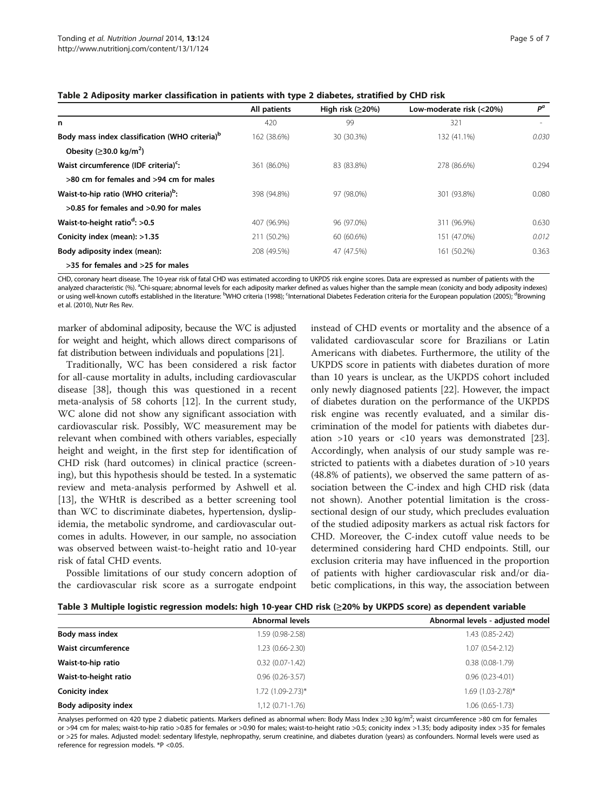|                                                            | All patients | High risk $(≥20%)$ | Low-moderate risk (<20%) | $P^a$ |
|------------------------------------------------------------|--------------|--------------------|--------------------------|-------|
| n                                                          | 420          | 99                 | 321                      |       |
| Body mass index classification (WHO criteria) <sup>b</sup> | 162 (38.6%)  | 30 (30.3%)         | 132 (41.1%)              | 0.030 |
| Obesity ( $\geq$ 30.0 kg/m <sup>2</sup> )                  |              |                    |                          |       |
| Waist circumference (IDF criteria) <sup>c</sup> :          | 361 (86.0%)  | 83 (83.8%)         | 278 (86.6%)              | 0.294 |
| >80 cm for females and >94 cm for males                    |              |                    |                          |       |
| Waist-to-hip ratio (WHO criteria) <sup>b</sup> :           | 398 (94.8%)  | 97 (98.0%)         | 301 (93.8%)              | 0.080 |
| $>0.85$ for females and $>0.90$ for males                  |              |                    |                          |       |
| Waist-to-height ratio <sup>d</sup> : >0.5                  | 407 (96.9%)  | 96 (97.0%)         | 311 (96.9%)              | 0.630 |
| Conicity index (mean): >1.35                               | 211 (50.2%)  | 60 (60.6%)         | 151 (47.0%)              | 0.012 |
| Body adiposity index (mean):                               | 208 (49.5%)  | 47 (47.5%)         | 161 (50.2%)              | 0.363 |
| >35 for females and >25 for males                          |              |                    |                          |       |

<span id="page-4-0"></span>Table 2 Adiposity marker classification in patients with type 2 diabetes, stratified by CHD risk

CHD, coronary heart disease. The 10-year risk of fatal CHD was estimated according to UKPDS risk engine scores. Data are expressed as number of patients with the analyzed characteristic (%). <sup>a</sup>Chi-square; abnormal levels for each adiposity marker defined as values higher than the sample mean (conicity and body adiposity indexes) or using well-known cutoffs established in the literature: <sup>b</sup>WHO criteria (1998); <sup>c</sup>lnternational Diabetes Federation criteria for the European population (2005); <sup>d</sup>Browning et al. (2010), Nutr Res Rev.

marker of abdominal adiposity, because the WC is adjusted for weight and height, which allows direct comparisons of fat distribution between individuals and populations [\[21](#page-5-0)].

Traditionally, WC has been considered a risk factor for all-cause mortality in adults, including cardiovascular disease [\[38\]](#page-6-0), though this was questioned in a recent meta-analysis of 58 cohorts [\[12](#page-5-0)]. In the current study, WC alone did not show any significant association with cardiovascular risk. Possibly, WC measurement may be relevant when combined with others variables, especially height and weight, in the first step for identification of CHD risk (hard outcomes) in clinical practice (screening), but this hypothesis should be tested. In a systematic review and meta-analysis performed by Ashwell et al. [[13\]](#page-5-0), the WHtR is described as a better screening tool than WC to discriminate diabetes, hypertension, dyslipidemia, the metabolic syndrome, and cardiovascular outcomes in adults. However, in our sample, no association was observed between waist-to-height ratio and 10-year risk of fatal CHD events.

Possible limitations of our study concern adoption of the cardiovascular risk score as a surrogate endpoint

instead of CHD events or mortality and the absence of a validated cardiovascular score for Brazilians or Latin Americans with diabetes. Furthermore, the utility of the UKPDS score in patients with diabetes duration of more than 10 years is unclear, as the UKPDS cohort included only newly diagnosed patients [[22\]](#page-5-0). However, the impact of diabetes duration on the performance of the UKPDS risk engine was recently evaluated, and a similar discrimination of the model for patients with diabetes duration >10 years or <10 years was demonstrated [\[23](#page-5-0)]. Accordingly, when analysis of our study sample was restricted to patients with a diabetes duration of >10 years (48.8% of patients), we observed the same pattern of association between the C-index and high CHD risk (data not shown). Another potential limitation is the crosssectional design of our study, which precludes evaluation of the studied adiposity markers as actual risk factors for CHD. Moreover, the C-index cutoff value needs to be determined considering hard CHD endpoints. Still, our exclusion criteria may have influenced in the proportion of patients with higher cardiovascular risk and/or diabetic complications, in this way, the association between

|  | Table 3 Multiple logistic regression models: high 10-year CHD risk (≥20% by UKPDS score) as dependent variable |
|--|----------------------------------------------------------------------------------------------------------------|
|--|----------------------------------------------------------------------------------------------------------------|

|                       | Abnormal levels     | Abnormal levels - adjusted model |
|-----------------------|---------------------|----------------------------------|
| Body mass index       | 1.59 (0.98-2.58)    | 1.43 (0.85-2.42)                 |
| Waist circumference   | 1.23 (0.66-2.30)    | $1.07(0.54-2.12)$                |
| Waist-to-hip ratio    | $0.32(0.07-1.42)$   | $0.38(0.08-1.79)$                |
| Waist-to-height ratio | $0.96(0.26 - 3.57)$ | $0.96(0.23 - 4.01)$              |
| <b>Conicity index</b> | 1.72 (1.09-2.73)*   | $1.69$ (1.03-2.78)*              |
| Body adiposity index  | 1,12 (0.71-1.76)    | $1.06(0.65-1.73)$                |

Analyses performed on 420 type 2 diabetic patients. Markers defined as abnormal when: Body Mass Index ≥30 kg/m<sup>2</sup>; waist circumference >80 cm for females or >94 cm for males; waist-to-hip ratio >0.85 for females or >0.90 for males; waist-to-height ratio >0.5; conicity index >1.35; body adiposity index >35 for females or >25 for males. Adjusted model: sedentary lifestyle, nephropathy, serum creatinine, and diabetes duration (years) as confounders. Normal levels were used as reference for regression models. \*P <0.05.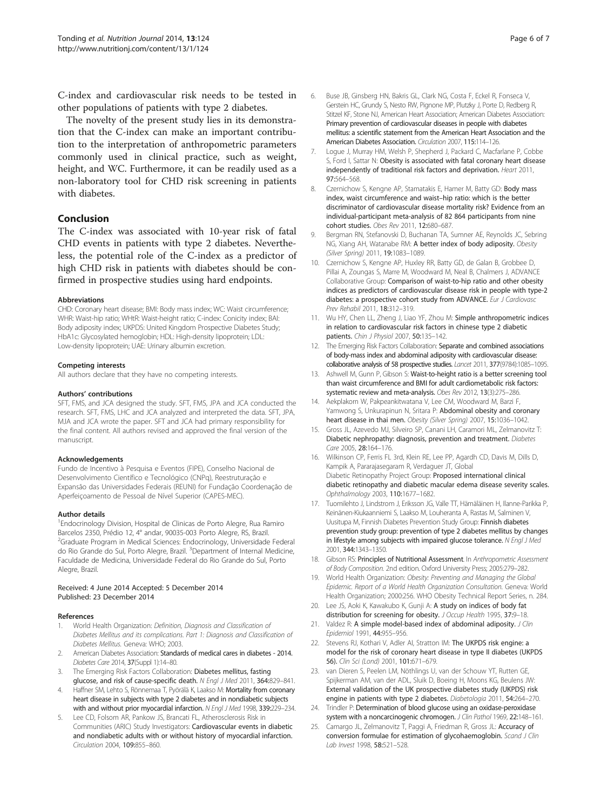<span id="page-5-0"></span>C-index and cardiovascular risk needs to be tested in other populations of patients with type 2 diabetes.

The novelty of the present study lies in its demonstration that the C-index can make an important contribution to the interpretation of anthropometric parameters commonly used in clinical practice, such as weight, height, and WC. Furthermore, it can be readily used as a non-laboratory tool for CHD risk screening in patients with diabetes.

# Conclusion

The C-index was associated with 10-year risk of fatal CHD events in patients with type 2 diabetes. Nevertheless, the potential role of the C-index as a predictor of high CHD risk in patients with diabetes should be confirmed in prospective studies using hard endpoints.

#### Abbreviations

CHD: Coronary heart disease; BMI: Body mass index; WC: Waist circumference; WHR: Waist-hip ratio; WHtR: Waist-height ratio; C-index: Conicity index; BAI: Body adiposity index; UKPDS: United Kingdom Prospective Diabetes Study; HbA1c: Glycosylated hemoglobin; HDL: High-density lipoprotein; LDL: Low-density lipoprotein; UAE: Urinary albumin excretion.

#### Competing interests

All authors declare that they have no competing interests.

#### Authors' contributions

SFT, FMS, and JCA designed the study. SFT, FMS, JPA and JCA conducted the research. SFT, FMS, LHC and JCA analyzed and interpreted the data. SFT, JPA, MJA and JCA wrote the paper. SFT and JCA had primary responsibility for the final content. All authors revised and approved the final version of the manuscript.

#### Acknowledgements

Fundo de Incentivo à Pesquisa e Eventos (FIPE), Conselho Nacional de Desenvolvimento Científico e Tecnológico (CNPq), Reestruturação e Expansão das Universidades Federais (REUNI) for Fundação Coordenação de Aperfeiçoamento de Pessoal de Nível Superior (CAPES-MEC).

#### Author details

<sup>1</sup> Endocrinology Division, Hospital de Clinicas de Porto Alegre, Rua Ramiro Barcelos 2350, Prédio 12, 4° andar, 90035-003 Porto Alegre, RS, Brazil. <sup>2</sup>Graduate Program in Medical Sciences: Endocrinology, Universidade Federal do Rio Grande do Sul, Porto Alegre, Brazil. <sup>3</sup>Department of Internal Medicine, Faculdade de Medicina, Universidade Federal do Rio Grande do Sul, Porto Alegre, Brazil.

#### Received: 4 June 2014 Accepted: 5 December 2014 Published: 23 December 2014

#### References

- 1. World Health Organization: Definition, Diagnosis and Classification of Diabetes Mellitus and its complications. Part 1: Diagnosis and Classification of Diabetes Mellitus. Geneva: WHO; 2003.
- American Diabetes Association: Standards of medical cares in diabetes 2014. Diabetes Care 2014, 37(Suppl 1):14–80.
- The Emerging Risk Factors Collaboration: Diabetes mellitus, fasting glucose, and risk of cause-specific death. N Engl J Med 2011, 364:829-841.
- Haffner SM, Lehto S, Rönnemaa T, Pyörälä K, Laakso M: Mortality from coronary heart disease in subjects with type 2 diabetes and in nondiabetic subjects with and without prior myocardial infarction. N Engl J Med 1998, 339:229-234.
- Lee CD, Folsom AR, Pankow JS, Brancati FL, Atherosclerosis Risk in Communities (ARIC) Study Investigators: Cardiovascular events in diabetic and nondiabetic adults with or without history of myocardial infarction. Circulation 2004, 109:855–860.
- 6. Buse JB, Ginsberg HN, Bakris GL, Clark NG, Costa F, Eckel R, Fonseca V, Gerstein HC, Grundy S, Nesto RW, Pignone MP, Plutzky J, Porte D, Redberg R, Stitzel KF, Stone NJ, American Heart Association; American Diabetes Association: Primary prevention of cardiovascular diseases in people with diabetes mellitus: a scientific statement from the American Heart Association and the American Diabetes Association. Circulation 2007, 115:114–126.
- 7. Logue J, Murray HM, Welsh P, Shepherd J, Packard C, Macfarlane P, Cobbe S, Ford I, Sattar N: Obesity is associated with fatal coronary heart disease independently of traditional risk factors and deprivation. Heart 2011, 97:564–568.
- 8. Czernichow S, Kengne AP, Stamatakis E, Hamer M, Batty GD: Body mass index, waist circumference and waist–hip ratio: which is the better discriminator of cardiovascular disease mortality risk? Evidence from an individual-participant meta-analysis of 82 864 participants from nine cohort studies. Obes Rev 2011, 12:680–687.
- 9. Bergman RN, Stefanovski D, Buchanan TA, Sumner AE, Reynolds JC, Sebring NG, Xiang AH, Watanabe RM: A better index of body adiposity. Obesity (Silver Spring) 2011, 19:1083–1089.
- 10. Czernichow S, Kengne AP, Huxley RR, Batty GD, de Galan B, Grobbee D, Pillai A, Zoungas S, Marre M, Woodward M, Neal B, Chalmers J, ADVANCE Collaborative Group: Comparison of waist-to-hip ratio and other obesity indices as predictors of cardiovascular disease risk in people with type-2 diabetes: a prospective cohort study from ADVANCE. Eur J Cardiovasc Prev Rehabil 2011, 18:312–319.
- 11. Wu HY, Chen LL, Zheng J, Liao YF, Zhou M: Simple anthropometric indices in relation to cardiovascular risk factors in chinese type 2 diabetic patients. Chin J Physiol 2007, 50:135–142.
- 12. The Emerging Risk Factors Collaboration: Separate and combined associations of body-mass index and abdominal adiposity with cardiovascular disease: collaborative analysis of 58 prospective studies. Lancet 2011, 377(9784):1085–1095.
- 13. Ashwell M, Gunn P, Gibson S: Waist-to-height ratio is a better screening tool than waist circumference and BMI for adult cardiometabolic risk factors: systematic review and meta-analysis. Obes Rev 2012, 13(3):275–286.
- 14. Aekplakorn W, Pakpeankitwatana V, Lee CM, Woodward M, Barzi F, Yamwong S, Unkurapinun N, Sritara P: Abdominal obesity and coronary heart disease in thai men. Obesity (Silver Spring) 2007, 15:1036-1042.
- 15. Gross JL, Azevedo MJ, Silveiro SP, Canani LH, Caramori ML, Zelmanovitz T: Diabetic nephropathy: diagnosis, prevention and treatment. Diabetes Care 2005, 28:164–176.
- 16. Wilkinson CP, Ferris FL 3rd, Klein RE, Lee PP, Agardh CD, Davis M, Dills D, Kampik A, Pararajasegaram R, Verdaguer JT, Global Diabetic Retinopathy Project Group: Proposed international clinical diabetic retinopathy and diabetic macular edema disease severity scales. Ophthalmology 2003, 110:1677–1682.
- 17. Tuomilehto J, Lindstrom J, Eriksson JG, Valle TT, Hämäläinen H, Ilanne-Parikka P, Keinänen-Kiukaanniemi S, Laakso M, Louheranta A, Rastas M, Salminen V, Uusitupa M, Finnish Diabetes Prevention Study Group: Finnish diabetes prevention study group: prevention of type 2 diabetes mellitus by changes in lifestyle among subjects with impaired glucose tolerance. N Engl J Med 2001, 344:1343–1350.
- 18. Gibson RS: Principles of Nutritional Assessment. In Anthropometric Assessment of Body Composition. 2nd edition. Oxford University Press; 2005:279–282.
- 19. World Health Organization: Obesity: Preventing and Managing the Global Epidemic. Report of a World Health Organization Consultation. Geneva: World Health Organization; 2000:256. WHO Obesity Technical Report Series, n. 284.
- 20. Lee JS, Aoki K, Kawakubo K, Gunji A: A study on indices of body fat distribution for screening for obesity. J Occup Health 1995, 37:9-18.
- 21. Valdez R: A simple model-based index of abdominal adiposity. J Clin Epidemiol 1991, 44:955–956.
- 22. Stevens RJ, Kothari V, Adler AI, Stratton IM: The UKPDS risk engine: a model for the risk of coronary heart disease in type II diabetes (UKPDS 56). Clin Sci (Lond) 2001, 101:671–679.
- 23. van Dieren S, Peelen LM, Nöthlings U, van der Schouw YT, Rutten GE, Spijkerman AM, van der ADL, Sluik D, Boeing H, Moons KG, Beulens JW: External validation of the UK prospective diabetes study (UKPDS) risk engine in patients with type 2 diabetes. Diabetologia 2011, 54:264–270.
- 24. Trindler P: Determination of blood glucose using an oxidase-peroxidase system with a noncarcinogenic chromogen. J Clin Pathol 1969, 22:148-161.
- 25. Camargo JL, Zelmanovitz T, Paggi A, Friedman R, Gross JL: Accuracy of conversion formulae for estimation of glycohaemoglobin. Scand J Clin Lab Invest 1998, 58:521–528.